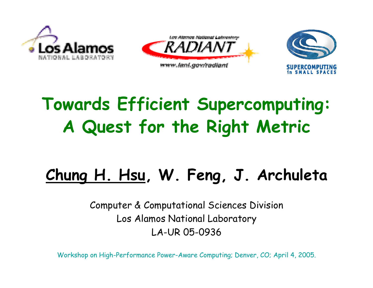





## **Towards Efficient Supercomputing: A Quest for the Right Metric**

### **Chung H. Hsu, W. Feng, J. Archuleta**

Computer & Computational Sciences Division Los Alamos National Laboratory LA-UR 05-0936

Workshop on High-Performance Power-Aware Computing; Denver, CO; April 4, 2005.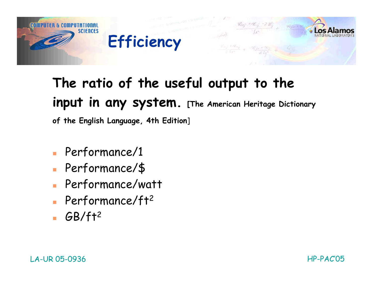

# **The ratio of the useful output to the input in any system. [The American Heritage Dictionary**

**of the English Language, 4th Edition**]

- Performance/1
- m. Performance/\$
- Performance/watt
- **Performance/ft<sup>2</sup>**
- $-$  GB/ft<sup>2</sup>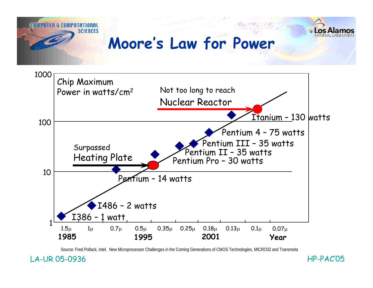



Source: Fred Pollack, Intel. New Microprocessor Challenges in the Coming Generations of CMOS Technologies, MICRO32 and Transmeta

LA-UR 05-0936 HP-PAC'05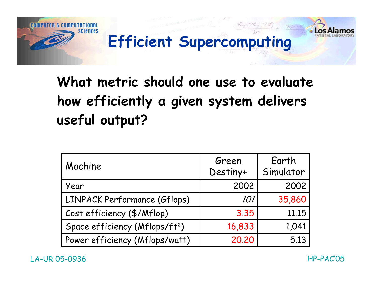

### **What metric should one use to evaluate how efficiently a given system delivers useful output?**

| Machine                                    | Green<br>Destiny+ | Earth<br>Simulator |
|--------------------------------------------|-------------------|--------------------|
| Year                                       | 2002              | 2002               |
| <b>LINPACK Performance (Gflops)</b>        | <i>101</i>        | 35,860             |
| Cost efficiency (\$/Mflop)                 | 3.35              | 11.15              |
| Space efficiency (Mflops/ft <sup>2</sup> ) | 16,833            | 1,041              |
| Power efficiency (Mflops/watt)             | 20.20             | 5.13               |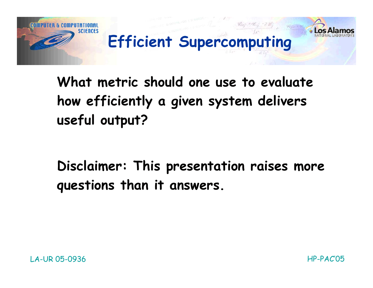

**What metric should one use to evaluate how efficiently a given system delivers useful output?**

**Disclaimer: This presentation raises more questions than it answers.**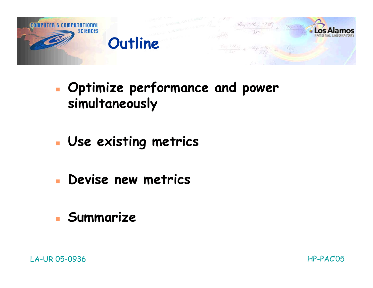

- П **Optimize performance and power simultaneously**
- **Use existing metrics**
- **Devise new metrics**
- **Summarize**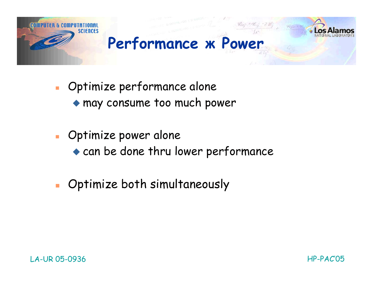

- $\mathcal{L}_{\mathcal{A}}$  Optimize performance alone may consume too much power
- **Deparative power alone** can be done thru lower performance
- $\mathbf{r}$ Optimize both simultaneously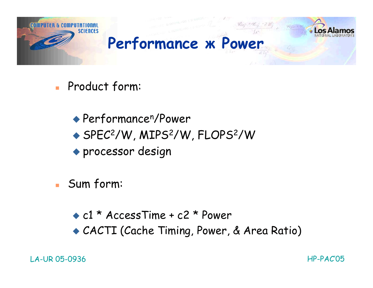

- **Product form:** 
	- Performancen/Power ◆ SPEC<sup>2</sup>/W, MIPS<sup>2</sup>/W, FLOPS<sup>2</sup>/W processor design
- Sum form:
	- c1 \* AccessTime + c2 \* Power CACTI (Cache Timing, Power, & Area Ratio)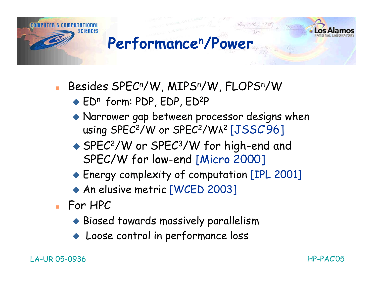

Besides SPECn/W, MIPSn/W, FLOPSn/W

 $\triangle$  ED<sup>n</sup> form: PDP, EDP, ED<sup>2</sup>P

- Narrower gap between processor designs when using SPEC<sup>2</sup>/W or SPEC<sup>2</sup>/WA<sup>2</sup> [JSSC'96]
- ◆ SPEC<sup>2</sup>/W or SPEC<sup>3</sup>/W for high-end and SPEC/W for low-end [Micro 2000]
- Energy complexity of computation [IPL 2001]
- ◆ An elusive metric [WCED 2003]
- For HPC
	- Biased towards massively parallelism
	- ♦ Loose control in performance loss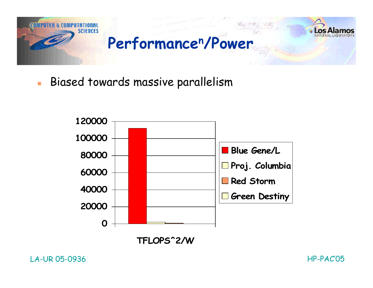

 $\overline{\phantom{a}}$ Biased towards massive parallelism



**TFLOPS^2/W**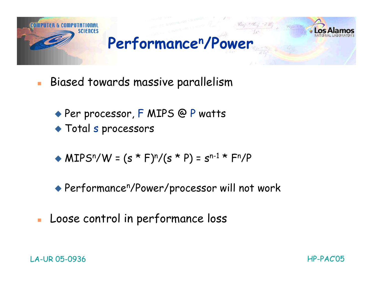

- Ē. Biased towards massive parallelism
	- ◆ Per processor, F MIPS @ P watts
	- Total s processors
	- $\triangle$  MIPS<sup>n</sup>/W = (s \* F)<sup>n</sup>/(s \* P) = s<sup>n-1</sup> \* F<sup>n</sup>/P
	- Performancen/Power/processor will not work
- È. Loose control in performance loss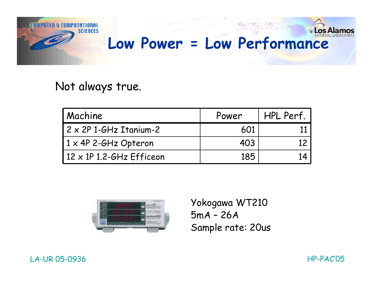

#### Not always true.

| Machine                          | Power | HPL Perf. |
|----------------------------------|-------|-----------|
| 2 x 2P 1-GHz Itanium-2           | 601   |           |
| $1 \times 4$ P 2-GHz Opteron     | 403   |           |
| $12 \times 1$ P 1.2-GHz Efficeon | 185   |           |



Yokogawa WT210 5mA – 26A Sample rate: 20us

#### LA-UR 05-0936 HP-PAC'05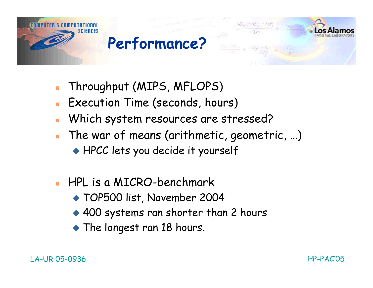

- Throughput (MIPS, MFLOPS)
- Execution Time (seconds, hours)
- Which system resources are stressed?
- The war of means (arithmetic, geometric, …) HPCC lets you decide it yourself
- HPL is a MICRO-benchmark
	- TOP500 list, November 2004
	- ◆ 400 systems ran shorter than 2 hours
	- The longest ran 18 hours.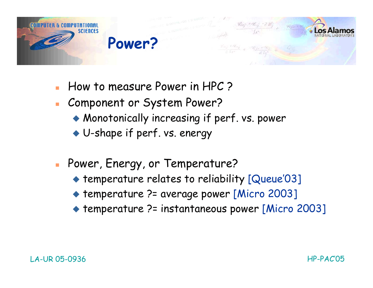

- How to measure Power in HPC ?
- Component or System Power?
	- Monotonically increasing if perf. vs. power
	- U-shape if perf. vs. energy
- **Power, Energy, or Temperature?** 
	- temperature relates to reliability [Queue'03]
	- ◆ temperature ?= average power [Micro 2003]
	- temperature ?= instantaneous power [Micro 2003]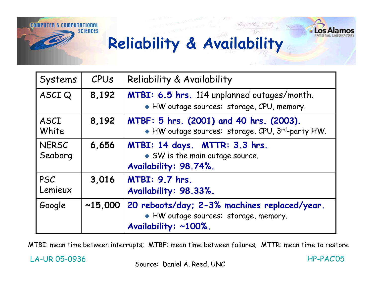



### **Reliability & Availability**

| Systems          | CPUS    | Reliability & Availability                                                                                  |
|------------------|---------|-------------------------------------------------------------------------------------------------------------|
| ASCIQ            | 8,192   | MTBI: 6.5 hrs. 114 unplanned outages/month.<br>HW outage sources: storage, CPU, memory.                     |
| ASCI<br>White    | 8,192   | MTBF: 5 hrs. (2001) and 40 hrs. (2003).<br>HW outage sources: storage, CPU, 3rd-party HW.                   |
| NERSC<br>Seaborg | 6,656   | MTBI: 14 days. MTTR: 3.3 hrs.<br>$\bullet$ SW is the main outage source.<br>Availability: 98.74%.           |
| PSC<br>Lemieux   | 3,016   | <b>MTBI: 9.7 hrs.</b><br>Availability: 98.33%.                                                              |
| Google           | ~15,000 | 20 reboots/day; 2-3% machines replaced/year.<br>HW outage sources: storage, memory.<br>Availability: ~100%. |

MTBI: mean time between interrupts; MTBF: mean time between failures; MTTR: mean time to restore

LA-UR 05-0936 HP-PAC'05

Source: Daniel A. Reed, UNC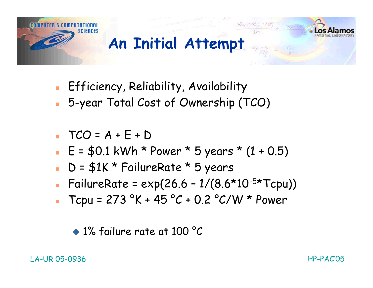

- **Efficiency, Reliability, Availability**
- 5-year Total Cost of Ownership (TCO)
- $TCO = A + E + D$
- $E = $0.1$  kWh \* Power \* 5 years \*  $(1 + 0.5)$
- D = \$1K \* FailureRate \* 5 years
- FailureRate =  $exp(26.6 1/(8.6*10^{-5*}Tcpu))$
- $Tcpu = 273 °K + 45 °C + 0.2 °C/W * Power$

<sup>◆ 1%</sup> failure rate at 100 °C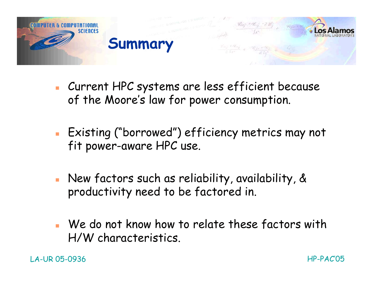

- Current HPC systems are less efficient because of the Moore's law for power consumption.
- Existing ("borrowed") efficiency metrics may not fit power-aware HPC use.
- New factors such as reliability, availability, & productivity need to be factored in.
- We do not know how to relate these factors with H/W characteristics.